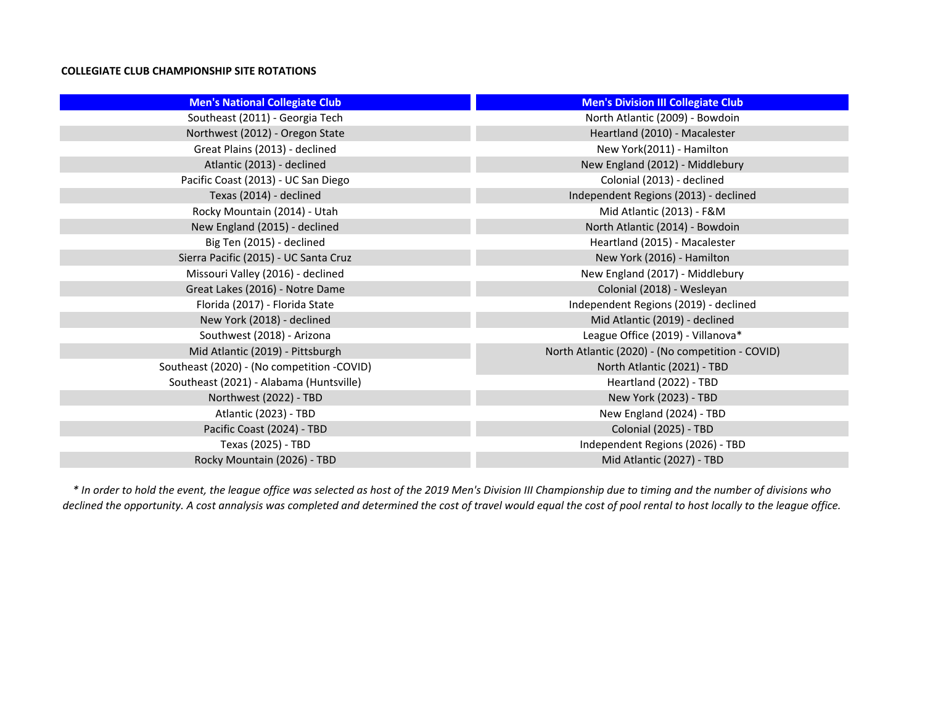## **COLLEGIATE CLUB CHAMPIONSHIP SITE ROTATIONS**

| <b>Men's National Collegiate Club</b>      | <b>Men's Division III Collegiate Club</b>        |
|--------------------------------------------|--------------------------------------------------|
| Southeast (2011) - Georgia Tech            | North Atlantic (2009) - Bowdoin                  |
| Northwest (2012) - Oregon State            | Heartland (2010) - Macalester                    |
| Great Plains (2013) - declined             | New York(2011) - Hamilton                        |
| Atlantic (2013) - declined                 | New England (2012) - Middlebury                  |
| Pacific Coast (2013) - UC San Diego        | Colonial (2013) - declined                       |
| Texas (2014) - declined                    | Independent Regions (2013) - declined            |
| Rocky Mountain (2014) - Utah               | Mid Atlantic (2013) - F&M                        |
| New England (2015) - declined              | North Atlantic (2014) - Bowdoin                  |
| Big Ten (2015) - declined                  | Heartland (2015) - Macalester                    |
| Sierra Pacific (2015) - UC Santa Cruz      | New York (2016) - Hamilton                       |
| Missouri Valley (2016) - declined          | New England (2017) - Middlebury                  |
| Great Lakes (2016) - Notre Dame            | Colonial (2018) - Wesleyan                       |
| Florida (2017) - Florida State             | Independent Regions (2019) - declined            |
| New York (2018) - declined                 | Mid Atlantic (2019) - declined                   |
| Southwest (2018) - Arizona                 | League Office (2019) - Villanova*                |
| Mid Atlantic (2019) - Pittsburgh           | North Atlantic (2020) - (No competition - COVID) |
| Southeast (2020) - (No competition -COVID) | North Atlantic (2021) - TBD                      |
| Southeast (2021) - Alabama (Huntsville)    | Heartland (2022) - TBD                           |
| Northwest (2022) - TBD                     | New York (2023) - TBD                            |
| Atlantic (2023) - TBD                      | New England (2024) - TBD                         |
| Pacific Coast (2024) - TBD                 | Colonial (2025) - TBD                            |
| Texas (2025) - TBD                         | Independent Regions (2026) - TBD                 |
| Rocky Mountain (2026) - TBD                | Mid Atlantic (2027) - TBD                        |

*\* In order to hold the event, the league office was selected as host of the 2019 Men's Division III Championship due to timing and the number of divisions who*  declined the opportunity. A cost annalysis was completed and determined the cost of travel would equal the cost of pool rental to host locally to the league office.